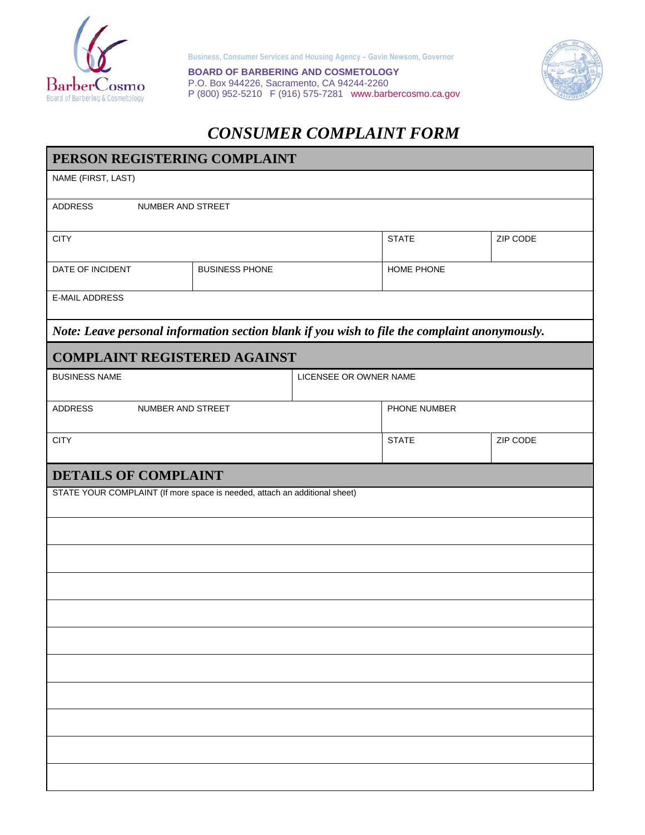

**Business, Consumer Services and Housing Agency – Gavin Newsom, Governor**

 P (800) 952-5210 F (916) 575-7281 <www.barbercosmo.ca.gov> **BOARD OF BARBERING AND COSMETOLOGY**  P.O. Box 944226, Sacramento, CA 94244-2260



## *CONSUMER COMPLAINT FORM*

| PERSON REGISTERING COMPLAINT                                                                  |                       |  |              |          |  |
|-----------------------------------------------------------------------------------------------|-----------------------|--|--------------|----------|--|
| NAME (FIRST, LAST)                                                                            |                       |  |              |          |  |
| <b>ADDRESS</b><br><b>NUMBER AND STREET</b>                                                    |                       |  |              |          |  |
| <b>CITY</b>                                                                                   |                       |  | <b>STATE</b> | ZIP CODE |  |
| DATE OF INCIDENT                                                                              | <b>BUSINESS PHONE</b> |  | HOME PHONE   |          |  |
| <b>E-MAIL ADDRESS</b>                                                                         |                       |  |              |          |  |
| Note: Leave personal information section blank if you wish to file the complaint anonymously. |                       |  |              |          |  |
| <b>COMPLAINT REGISTERED AGAINST</b>                                                           |                       |  |              |          |  |
| <b>BUSINESS NAME</b><br>LICENSEE OR OWNER NAME                                                |                       |  |              |          |  |
| ADDRESS<br>NUMBER AND STREET                                                                  |                       |  | PHONE NUMBER |          |  |
| <b>CITY</b>                                                                                   |                       |  | <b>STATE</b> | ZIP CODE |  |
| <b>DETAILS OF COMPLAINT</b>                                                                   |                       |  |              |          |  |
| STATE YOUR COMPLAINT (If more space is needed, attach an additional sheet)                    |                       |  |              |          |  |
|                                                                                               |                       |  |              |          |  |
|                                                                                               |                       |  |              |          |  |
|                                                                                               |                       |  |              |          |  |
|                                                                                               |                       |  |              |          |  |
|                                                                                               |                       |  |              |          |  |
|                                                                                               |                       |  |              |          |  |
|                                                                                               |                       |  |              |          |  |
|                                                                                               |                       |  |              |          |  |
|                                                                                               |                       |  |              |          |  |
|                                                                                               |                       |  |              |          |  |